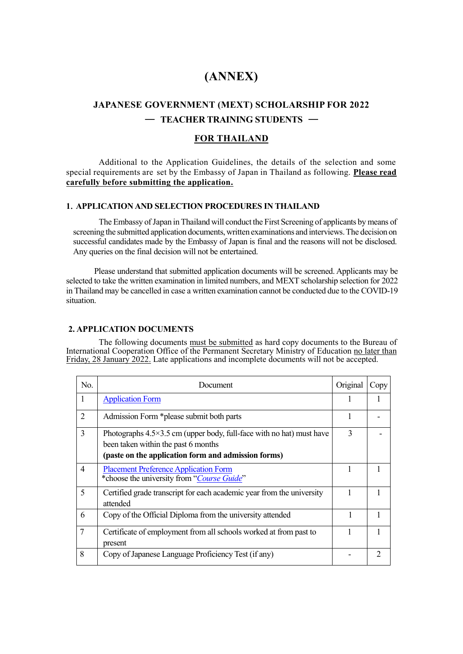# **(ANNEX)**

# **JAPANESE GOVERNMENT (MEXT) SCHOLARSHIP FOR 2022** ― **TEACHER TRAINING STUDENTS** ―

### **FOR THAILAND**

Additional to the Application Guidelines, the details of the selection and some special requirements are set by the Embassy of Japan in Thailand as following. **Please read carefully before submitting the application.**

#### **1**.**APPLICATION AND SELECTION PROCEDURES IN THAILAND**

The Embassy of Japan in Thailand will conduct the First Screening of applicants by means of screening the submitted application documents, written examinations and interviews. The decision on successful candidates made by the Embassy of Japan is final and the reasons will not be disclosed. Any queries on the final decision will not be entertained.

Please understand that submitted application documents will be screened. Applicants may be selected to take the written examination in limited numbers, and MEXT scholarship selection for 2022 in Thailand may be cancelled in case a written examination cannot be conducted due to the COVID-19 situation.

#### **2. APPLICATION DOCUMENTS**

The following documents must be submitted as hard copy documents to the Bureau of International Cooperation Office of the Permanent Secretary Ministry of Education no later than Friday, 28 January 2022. Late applications and incomplete documents will not be accepted.

| No.            | Document                                                                                                                                                                    | Original | Copy          |
|----------------|-----------------------------------------------------------------------------------------------------------------------------------------------------------------------------|----------|---------------|
| 1              | <b>Application Form</b>                                                                                                                                                     |          |               |
| $\overline{2}$ | Admission Form *please submit both parts                                                                                                                                    |          |               |
| 3              | Photographs $4.5 \times 3.5$ cm (upper body, full-face with no hat) must have<br>been taken within the past 6 months<br>(paste on the application form and admission forms) | 3        |               |
| 4              | <b>Placement Preference Application Form</b><br>*choose the university from "Course Guide"                                                                                  |          |               |
| 5              | Certified grade transcript for each academic year from the university<br>attended                                                                                           |          |               |
| 6              | Copy of the Official Diploma from the university attended                                                                                                                   |          |               |
| 7              | Certificate of employment from all schools worked at from past to<br>present                                                                                                |          |               |
| 8              | Copy of Japanese Language Proficiency Test (if any)                                                                                                                         |          | $\mathcal{D}$ |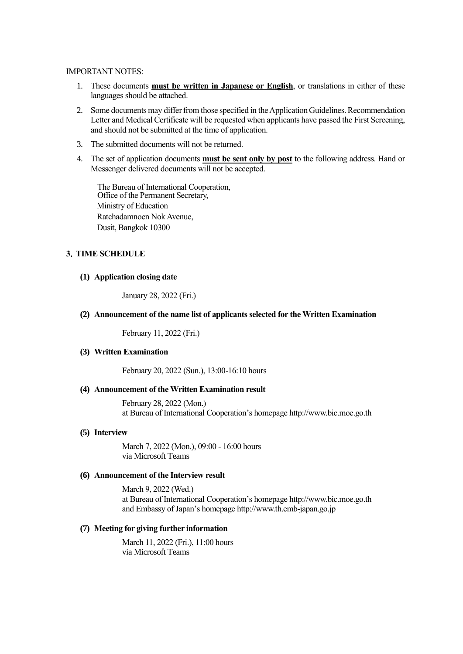#### IMPORTANT NOTES:

- 1. These documents **must be written in Japanese or English**, or translations in either of these languages should be attached.
- 2. Some documents may differ from those specified in the Application Guidelines. Recommendation Letter and Medical Certificate will be requested when applicants have passed the First Screening, and should not be submitted at the time of application.
- 3. The submitted documents will not be returned.
- 4. The set of application documents **must be sent only by post** to the following address. Hand or Messenger delivered documents will not be accepted.

The Bureau of International Cooperation, Office of the Permanent Secretary, Ministry of Education Ratchadamnoen Nok Avenue, Dusit, Bangkok 10300

### **3**.**TIME SCHEDULE**

#### **(1) Application closing date**

January 28, 2022 (Fri.)

#### **(2) Announcement of the name list of applicants selected for the Written Examination**

February 11, 2022 (Fri.)

#### **(3) Written Examination**

February 20, 2022 (Sun.), 13:00-16:10 hours

#### **(4) Announcement of the Written Examination result**

February 28, 2022 (Mon.) at Bureau of International Cooperation's homepage [http://www.bic.moe.go.th](http://www.bic.moe.go.th/) 

#### **(5) Interview**

March 7, 2022 (Mon.), 09:00 - 16:00 hours via Microsoft Teams

#### **(6) Announcement of the Interview result**

March 9, 2022 (Wed.) at Bureau of International Cooperation's homepage [http://www.bic.moe.go.th](http://www.bic.moe.go.th/) and Embassy of Japan's homepage http:/[/www.th.emb-japan.go.jp](http://www.th.emb-japan.go.jp/)

#### **(7) Meeting for giving further information**

March 11, 2022 (Fri.), 11:00 hours via Microsoft Teams